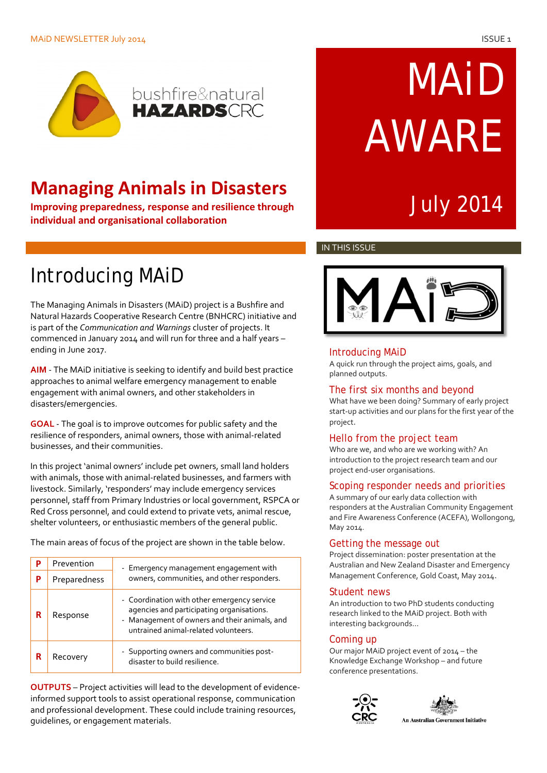#### MAiD NEWSLETTER July 2014 ISSUE 1



# **Managing Animals in Disasters**<br>
Improving preparedness, response and resilience through **Containery State 10 and 10 and 10 and 10 and 10 and 10**

**Improving preparedness, response and resilience through individual and organisational collaboration**

# MAiD AWARE

#### IN THIS ISSUE

## Introducing MAiD

The Managing Animals in Disasters (MAiD) project is a Bushfire and Natural Hazards Cooperative Research Centre (BNHCRC) initiative and is part of the *Communication and Warnings* cluster of projects. It commenced in January 2014 and will run for three and a half years – ending in June 2017.

**AIM** - The MAiD initiative is seeking to identify and build best practice approaches to animal welfare emergency management to enable engagement with animal owners, and other stakeholders in disasters/emergencies.

**GOAL** - The goal is to improve outcomes for public safety and the resilience of responders, animal owners, those with animal-related businesses, and their communities.

In this project 'animal owners' include pet owners, small land holders with animals, those with animal-related businesses, and farmers with livestock. Similarly, 'responders' may include emergency services personnel, staff from Primary Industries or local government, RSPCA or Red Cross personnel, and could extend to private vets, animal rescue, shelter volunteers, or enthusiastic members of the general public.

The main areas of focus of the project are shown in the table below.

| p | Prevention   | - Emergency management engagement with<br>owners, communities, and other responders.                                                                                              |
|---|--------------|-----------------------------------------------------------------------------------------------------------------------------------------------------------------------------------|
| Р | Preparedness |                                                                                                                                                                                   |
|   | Response     | - Coordination with other emergency service<br>agencies and participating organisations.<br>- Management of owners and their animals, and<br>untrained animal-related volunteers. |
| R | Recovery     | - Supporting owners and communities post-<br>disaster to build resilience.                                                                                                        |

**OUTPUTS** – Project activities will lead to the development of evidenceinformed support tools to assist operational response, communication and professional development. These could include training resources, guidelines, or engagement materials.



## Introducing MAiD

A quick run through the project aims, goals, and planned outputs.

#### The first six months and beyond

What have we been doing? Summary of early project start-up activities and our plans for the first year of the project.

## Hello from the project team

Who are we, and who are we working with? An introduction to the project research team and our project end-user organisations.

## Scoping responder needs and priorities

A summary of our early data collection with responders at the Australian Community Engagement and Fire Awareness Conference (ACEFA), Wollongong, May 2014.

## Getting the message out

Project dissemination: poster presentation at the Australian and New Zealand Disaster and Emergency Management Conference, Gold Coast, May 2014.

#### Student news

An introduction to two PhD students conducting research linked to the MAiD project. Both with interesting backgrounds…

## Coming up

Our major MAiD project event of 2014 – the Knowledge Exchange Workshop – and future conference presentations.



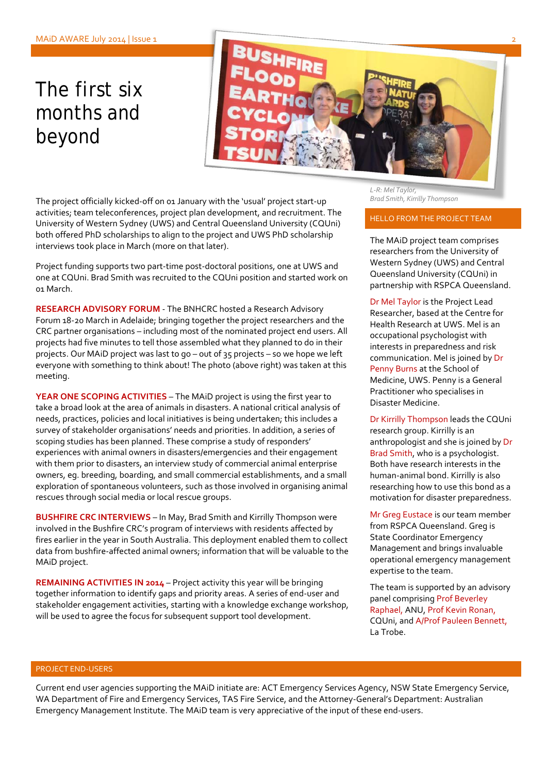# The first six months and beyond



*Brad Smith, Kirrilly Thompson* The project officially kicked-off on 01 January with the 'usual' project start-up activities; team teleconferences, project plan development, and recruitment. The University of Western Sydney (UWS) and Central Queensland University (CQUni) both offered PhD scholarships to align to the project and UWS PhD scholarship interviews took place in March (more on that later).

Project funding supports two part-time post-doctoral positions, one at UWS and one at CQUni. Brad Smith was recruited to the CQUni position and started work on 01 March.

**RESEARCH ADVISORY FORUM** - The BNHCRC hosted a Research Advisory Forum 18-20 March in Adelaide; bringing together the project researchers and the CRC partner organisations – including most of the nominated project end users. All projects had five minutes to tell those assembled what they planned to do in their projects. Our MAiD project was last to go – out of 35 projects – so we hope we left everyone with something to think about! The photo (above right) was taken at this meeting.

**YEAR ONE SCOPING ACTIVITIES** – The MAiD project is using the first year to take a broad look at the area of animals in disasters. A national critical analysis of needs, practices, policies and local initiatives is being undertaken; this includes a survey of stakeholder organisations' needs and priorities. In addition, a series of scoping studies has been planned. These comprise a study of responders' experiences with animal owners in disasters/emergencies and their engagement with them prior to disasters, an interview study of commercial animal enterprise owners, eg. breeding, boarding, and small commercial establishments, and a small exploration of spontaneous volunteers, such as those involved in organising animal rescues through social media or local rescue groups.

**BUSHFIRE CRC INTERVIEWS** – In May, Brad Smith and Kirrilly Thompson were involved in the Bushfire CRC's program of interviews with residents affected by fires earlier in the year in South Australia. This deployment enabled them to collect data from bushfire-affected animal owners; information that will be valuable to the MAiD project.

**REMAINING ACTIVITIES IN 2014** – Project activity this year will be bringing together information to identify gaps and priority areas. A series of end-user and stakeholder engagement activities, starting with a knowledge exchange workshop, will be used to agree the focus for subsequent support tool development.

*L-R: Mel Taylor,* 

#### HELLO FROM THE PROJECT TEAM

The MAiD project team comprises researchers from the University of Western Sydney (UWS) and Central Queensland University (CQUni) in partnership with RSPCA Queensland.

Dr Mel Taylor is the Project Lead Researcher, based at the Centre for Health Research at UWS. Mel is an occupational psychologist with interests in preparedness and risk communication. Mel is joined by Dr Penny Burns at the School of Medicine, UWS. Penny is a General Practitioner who specialises in Disaster Medicine.

Dr Kirrilly Thompson leads the CQUni research group. Kirrilly is an anthropologist and she is joined by Dr Brad Smith, who is a psychologist. Both have research interests in the human-animal bond. Kirrilly is also researching how to use this bond as a motivation for disaster preparedness.

Mr Greg Eustace is our team member from RSPCA Queensland. Greg is State Coordinator Emergency Management and brings invaluable operational emergency management expertise to the team.

The team is supported by an advisory panel comprising Prof Beverley Raphael, ANU, Prof Kevin Ronan, CQUni, and A/Prof Pauleen Bennett, La Trobe.

#### PROJECT END-USERS

Current end user agencies supporting the MAiD initiate are: ACT Emergency Services Agency, NSW State Emergency Service, WA Department of Fire and Emergency Services, TAS Fire Service, and the Attorney-General's Department: Australian Emergency Management Institute. The MAiD team is very appreciative of the input of these end-users.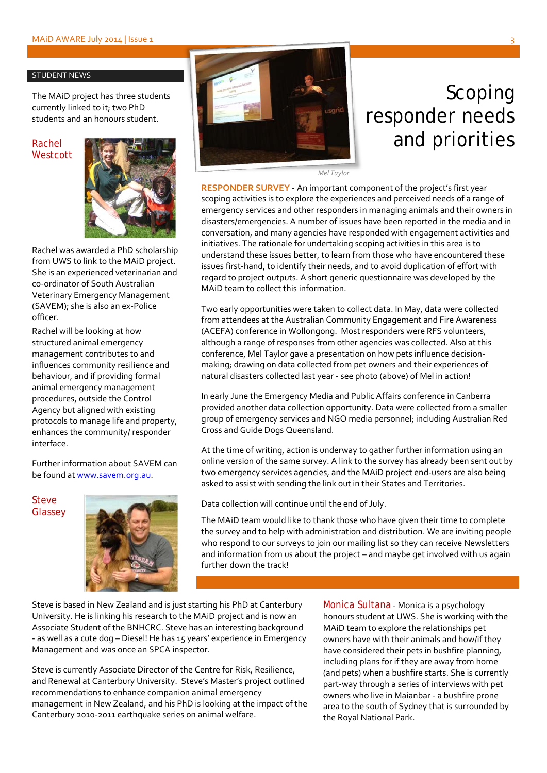#### STUDENT NEWS

The MAiD project has three students currently linked to it; two PhD students and an honours student.

Rachel **Westcott** 



Rachel was awarded a PhD scholarship from UWS to link to the MAiD project. She is an experienced veterinarian and co-ordinator of South Australian Veterinary Emergency Management (SAVEM); she is also an ex-Police officer.

Rachel will be looking at how structured animal emergency management contributes to and influences community resilience and behaviour, and if providing formal animal emergency management procedures, outside the Control Agency but aligned with existing protocols to manage life and property, enhances the community/ responder interface.

Further information about SAVEM can be found at [www.savem.org.au.](http://www.savem.org.au/)

Steve **Glassey** 





## Scoping responder needs and priorities

*Mel Taylor*

**RESPONDER SURVEY** - An important component of the project's first year scoping activities is to explore the experiences and perceived needs of a range of emergency services and other responders in managing animals and their owners in disasters/emergencies. A number of issues have been reported in the media and in conversation, and many agencies have responded with engagement activities and initiatives. The rationale for undertaking scoping activities in this area is to understand these issues better, to learn from those who have encountered these issues first-hand, to identify their needs, and to avoid duplication of effort with regard to project outputs. A short generic questionnaire was developed by the MAiD team to collect this information.

Two early opportunities were taken to collect data. In May, data were collected from attendees at the Australian Community Engagement and Fire Awareness (ACEFA) conference in Wollongong. Most responders were RFS volunteers, although a range of responses from other agencies was collected. Also at this conference, Mel Taylor gave a presentation on how pets influence decisionmaking; drawing on data collected from pet owners and their experiences of natural disasters collected last year - see photo (above) of Mel in action!

In early June the Emergency Media and Public Affairs conference in Canberra provided another data collection opportunity. Data were collected from a smaller group of emergency services and NGO media personnel; including Australian Red Cross and Guide Dogs Queensland.

At the time of writing, action is underway to gather further information using an online version of the same survey. A link to the survey has already been sent out by two emergency services agencies, and the MAiD project end-users are also being asked to assist with sending the link out in their States and Territories.

Data collection will continue until the end of July.

The MAiD team would like to thank those who have given their time to complete the survey and to help with administration and distribution. We are inviting people who respond to our surveys to join our mailing list so they can receive Newsletters and information from us about the project – and maybe get involved with us again further down the track!

Steve is based in New Zealand and is just starting his PhD at Canterbury University. He is linking his research to the MAiD project and is now an Associate Student of the BNHCRC. Steve has an interesting background - as well as a cute dog – Diesel! He has 15 years' experience in Emergency Management and was once an SPCA inspector.

Steve is currently Associate Director of the Centre for Risk, Resilience, and Renewal at Canterbury University. Steve's Master's project outlined recommendations to enhance companion animal emergency management in New Zealand, and his PhD is looking at the impact of the Canterbury 2010-2011 earthquake series on animal welfare.

Monica Sultana - Monica is a psychology honours student at UWS. She is working with the MAiD team to explore the relationships pet owners have with their animals and how/if they have considered their pets in bushfire planning, including plans for if they are away from home (and pets) when a bushfire starts. She is currently part-way through a series of interviews with pet owners who live in Maianbar - a bushfire prone area to the south of Sydney that is surrounded by the Royal National Park.